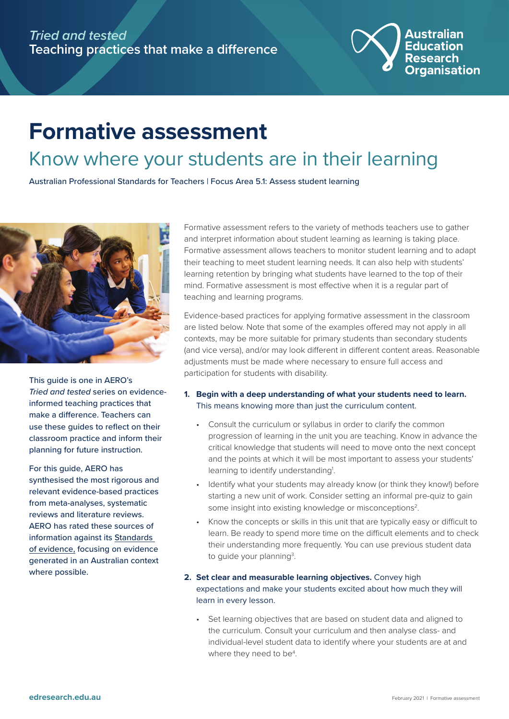

## **Formative assessment**  Know where your students are in their learning

Australian Professional Standards for Teachers | Focus Area 5.1: Assess student learning



This guide is one in AERO's *Tried and tested* series on evidenceinformed teaching practices that make a difference. Teachers can use these guides to reflect on their classroom practice and inform their planning for future instruction.

For this guide, AERO has synthesised the most rigorous and relevant evidence-based practices from meta-analyses, systematic reviews and literature reviews. AERO has rated these sources of information against its [Standards](https://edresearch.edu.au/standards-evidence)  [of evidence,](https://edresearch.edu.au/standards-evidence) focusing on evidence generated in an Australian context where possible.

Formative assessment refers to the variety of methods teachers use to gather and interpret information about student learning as learning is taking place. Formative assessment allows teachers to monitor student learning and to adapt their teaching to meet student learning needs. It can also help with students' learning retention by bringing what students have learned to the top of their mind. Formative assessment is most effective when it is a regular part of teaching and learning programs.

Evidence-based practices for applying formative assessment in the classroom are listed below. Note that some of the examples offered may not apply in all contexts, may be more suitable for primary students than secondary students (and vice versa), and/or may look different in different content areas. Reasonable adjustments must be made where necessary to ensure full access and participation for students with disability.

- **1. Begin with a deep understanding of what your students need to learn.** This means knowing more than just the curriculum content.
	- Consult the curriculum or syllabus in order to clarify the common progression of learning in the unit you are teaching. Know in advance the critical knowledge that students will need to move onto the next concept and the points at which it will be most important to assess your students' learning to identify understanding<sup>1</sup>.
	- Identify what your students may already know (or think they know!) before starting a new unit of work. Consider setting an informal pre-quiz to gain some insight into existing knowledge or misconceptions<sup>2</sup>.
	- Know the concepts or skills in this unit that are typically easy or difficult to learn. Be ready to spend more time on the difficult elements and to check their understanding more frequently. You can use previous student data to guide your planning<sup>3</sup>.
- **2. Set clear and measurable learning objectives.** Convey high expectations and make your students excited about how much they will learn in every lesson.
	- Set learning objectives that are based on student data and aligned to the curriculum. Consult your curriculum and then analyse class- and individual-level student data to identify where your students are at and where they need to be<sup>4</sup>.